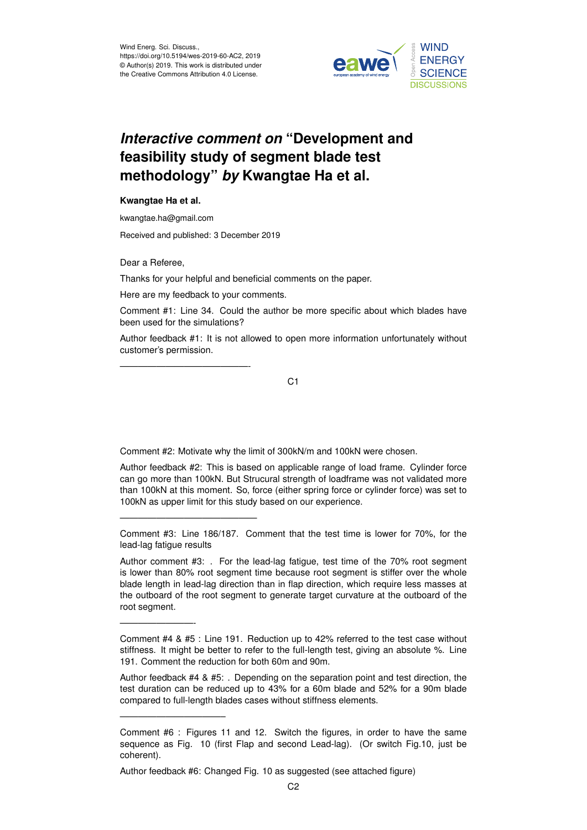

## *Interactive comment on* **"Development and feasibility study of segment blade test methodology"** *by* **Kwangtae Ha et al.**

## **Kwangtae Ha et al.**

kwangtae.ha@gmail.com

Received and published: 3 December 2019

Dear a Referee,

Thanks for your helpful and beneficial comments on the paper.

Here are my feedback to your comments.

——————————————-

———————————————

————————-

———————————–

Comment #1: Line 34. Could the author be more specific about which blades have been used for the simulations?

Author feedback #1: It is not allowed to open more information unfortunately without customer's permission.

C1

Comment #2: Motivate why the limit of 300kN/m and 100kN were chosen.

Author feedback #2: This is based on applicable range of load frame. Cylinder force can go more than 100kN. But Strucural strength of loadframe was not validated more than 100kN at this moment. So, force (either spring force or cylinder force) was set to 100kN as upper limit for this study based on our experience.

Comment #3: Line 186/187. Comment that the test time is lower for 70%, for the lead-lag fatigue results

Author comment #3: . For the lead-lag fatigue, test time of the 70% root segment is lower than 80% root segment time because root segment is stiffer over the whole blade length in lead-lag direction than in flap direction, which require less masses at the outboard of the root segment to generate target curvature at the outboard of the root segment.

Author feedback #4 & #5: . Depending on the separation point and test direction, the test duration can be reduced up to 43% for a 60m blade and 52% for a 90m blade compared to full-length blades cases without stiffness elements.

Author feedback #6: Changed Fig. 10 as suggested (see attached figure)

Comment #4 & #5 : Line 191. Reduction up to 42% referred to the test case without stiffness. It might be better to refer to the full-length test, giving an absolute %. Line 191. Comment the reduction for both 60m and 90m.

Comment #6 : Figures 11 and 12. Switch the figures, in order to have the same sequence as Fig. 10 (first Flap and second Lead-lag). (Or switch Fig.10, just be coherent).